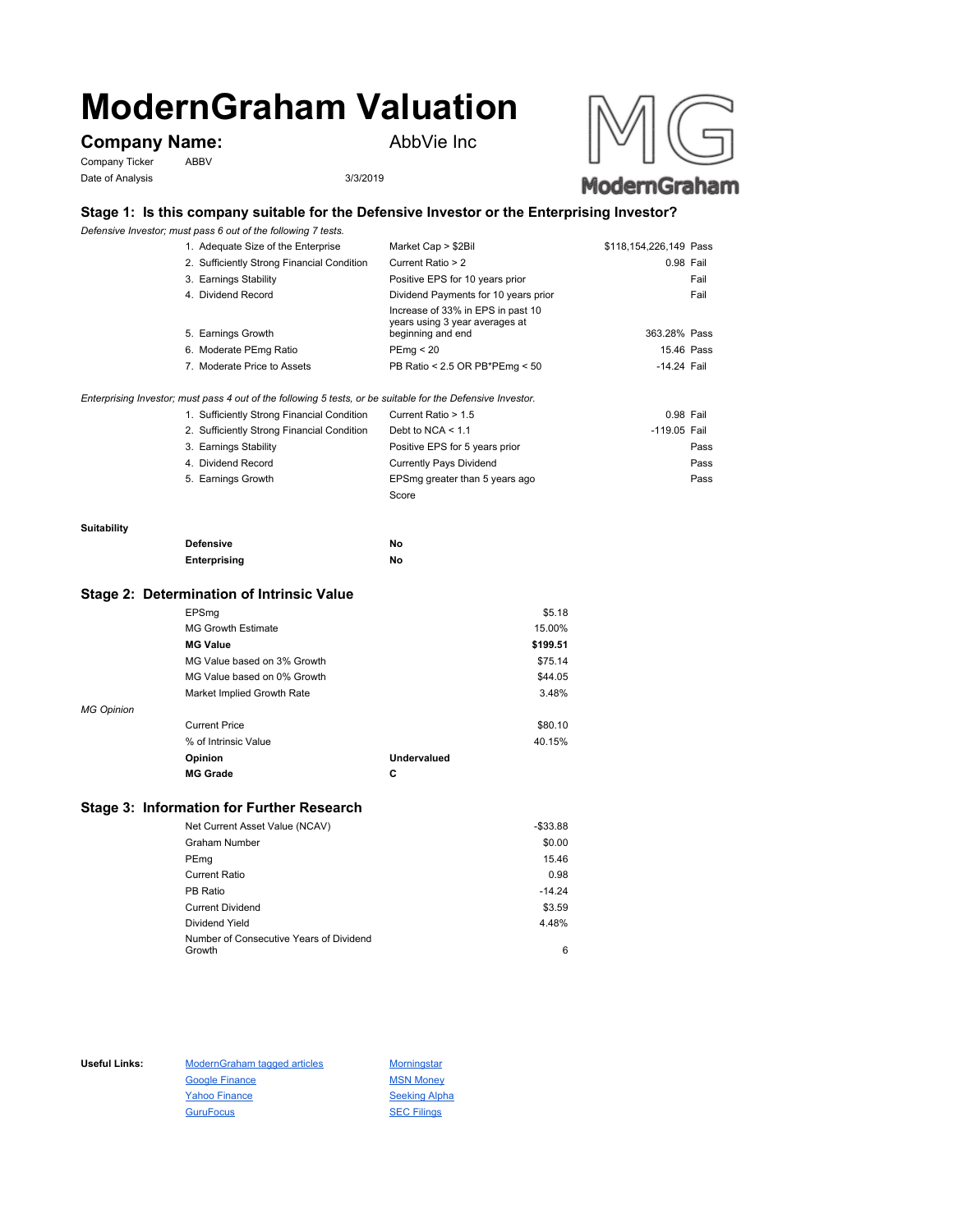# **ModernGraham Valuation**

# **Company Name:** AbbVie Inc

Company Ticker ABBV Date of Analysis 3/3/2019



## **Stage 1: Is this company suitable for the Defensive Investor or the Enterprising Investor?**

*Defensive Investor; must pass 6 out of the following 7 tests.*

| 1. Adequate Size of the Enterprise         | Market Cap > \$2Bil                                                                      | \$118,154,226,149 Pass |
|--------------------------------------------|------------------------------------------------------------------------------------------|------------------------|
| 2. Sufficiently Strong Financial Condition | Current Ratio > 2                                                                        | 0.98 Fail              |
| 3. Earnings Stability                      | Positive EPS for 10 years prior                                                          | Fail                   |
| 4. Dividend Record                         | Dividend Payments for 10 years prior                                                     | Fail                   |
| 5. Earnings Growth                         | Increase of 33% in EPS in past 10<br>years using 3 year averages at<br>beginning and end | 363.28% Pass           |
| 6. Moderate PEmg Ratio                     | PEmq < 20                                                                                | 15.46 Pass             |
| 7. Moderate Price to Assets                | PB Ratio < 2.5 OR PB*PEmg < 50                                                           | -14.24 Fail            |

*Enterprising Investor; must pass 4 out of the following 5 tests, or be suitable for the Defensive Investor.*

| 1. Sufficiently Strong Financial Condition | Current Ratio > 1.5            | 0.98 Fail    |      |
|--------------------------------------------|--------------------------------|--------------|------|
| 2. Sufficiently Strong Financial Condition | Debt to NCA $<$ 1.1            | -119.05 Fail |      |
| 3. Earnings Stability                      | Positive EPS for 5 years prior |              | Pass |
| 4. Dividend Record                         | <b>Currently Pays Dividend</b> |              | Pass |
| 5. Earnings Growth                         | EPSmg greater than 5 years ago |              | Pass |
|                                            | Score                          |              |      |

#### **Suitability**

| <b>Defensive</b> | No |
|------------------|----|
| Enterprising     | No |

#### **Stage 2: Determination of Intrinsic Value**

|                   | EPSmg                       |             | \$5.18   |
|-------------------|-----------------------------|-------------|----------|
|                   | <b>MG Growth Estimate</b>   |             | 15.00%   |
|                   | <b>MG Value</b>             |             | \$199.51 |
|                   | MG Value based on 3% Growth |             | \$75.14  |
|                   | MG Value based on 0% Growth |             | \$44.05  |
|                   | Market Implied Growth Rate  |             | 3.48%    |
| <b>MG Opinion</b> |                             |             |          |
|                   | <b>Current Price</b>        |             | \$80.10  |
|                   | % of Intrinsic Value        |             | 40.15%   |
|                   | Opinion                     | Undervalued |          |
|                   | <b>MG Grade</b>             | C           |          |
|                   |                             |             |          |

## **Stage 3: Information for Further Research**

| Net Current Asset Value (NCAV)          | $-$33.88$ |
|-----------------------------------------|-----------|
| Graham Number                           | \$0.00    |
| PEmg                                    | 15.46     |
| Current Ratio                           | 0.98      |
| PB Ratio                                | $-14.24$  |
| <b>Current Dividend</b>                 | \$3.59    |
| Dividend Yield                          | 4.48%     |
| Number of Consecutive Years of Dividend |           |
| Growth                                  | 6         |

Useful Links: ModernGraham tagged articles Morningstar Google Finance MSN Money Yahoo Finance Seeking Alpha GuruFocus SEC Filings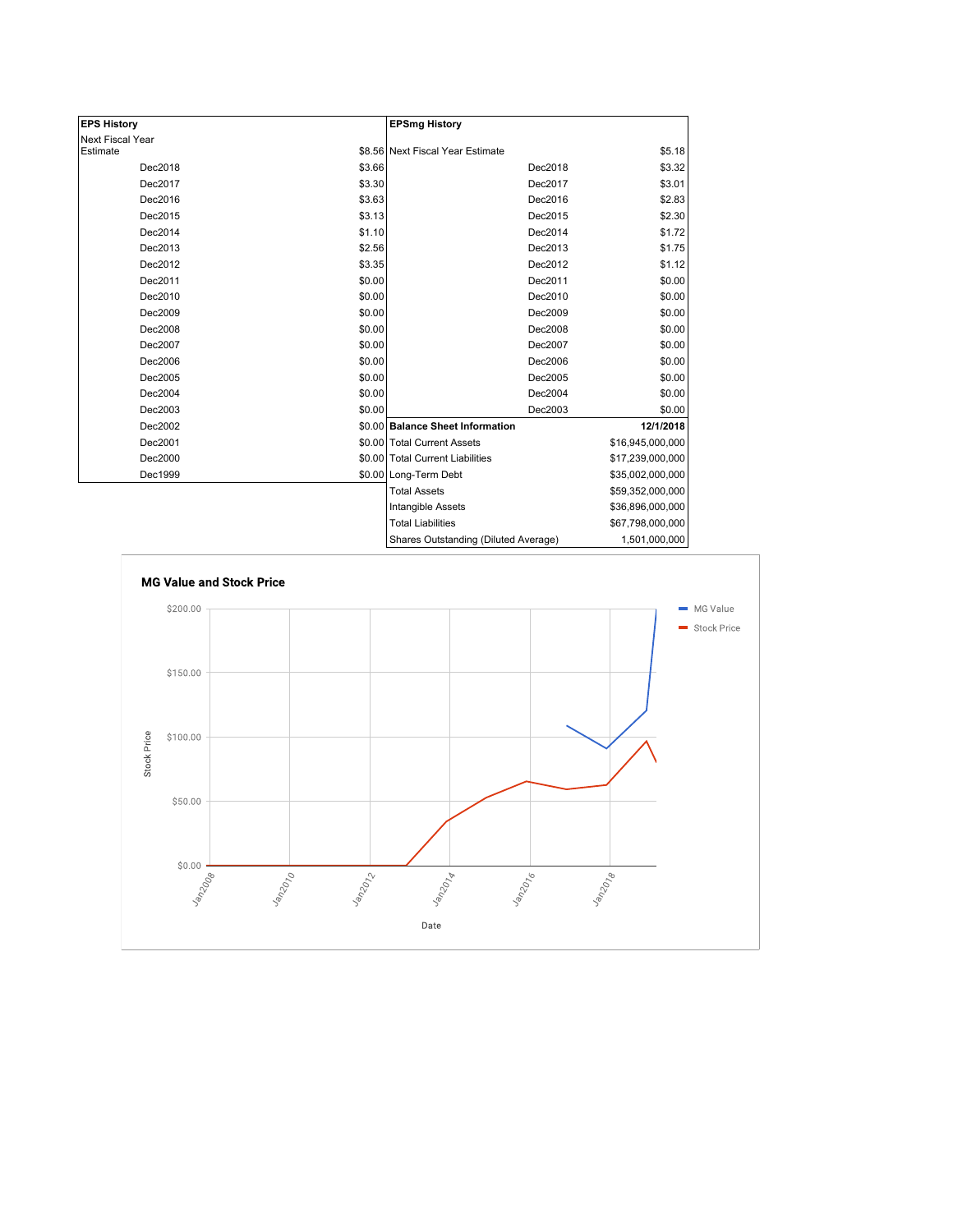| <b>EPS History</b> |        | <b>EPSmg History</b>                 |                  |
|--------------------|--------|--------------------------------------|------------------|
| Next Fiscal Year   |        |                                      |                  |
| Estimate           |        | \$8.56 Next Fiscal Year Estimate     | \$5.18           |
| Dec2018            | \$3.66 | Dec2018                              | \$3.32           |
| Dec2017            | \$3.30 | Dec2017                              | \$3.01           |
| Dec2016            | \$3.63 | Dec2016                              | \$2.83           |
| Dec2015            | \$3.13 | Dec2015                              | \$2.30           |
| Dec2014            | \$1.10 | Dec2014                              | \$1.72           |
| Dec2013            | \$2.56 | Dec2013                              | \$1.75           |
| Dec2012            | \$3.35 | Dec2012                              | \$1.12           |
| Dec2011            | \$0.00 | Dec2011                              | \$0.00           |
| Dec2010            | \$0.00 | Dec2010                              | \$0.00           |
| Dec2009            | \$0.00 | Dec2009                              | \$0.00           |
| Dec2008            | \$0.00 | Dec2008                              | \$0.00           |
| Dec2007            | \$0.00 | Dec2007                              | \$0.00           |
| Dec2006            | \$0.00 | Dec2006                              | \$0.00           |
| Dec2005            | \$0.00 | Dec2005                              | \$0.00           |
| Dec2004            | \$0.00 | Dec2004                              | \$0.00           |
| Dec2003            | \$0.00 | Dec2003                              | \$0.00           |
| Dec2002            |        | \$0.00 Balance Sheet Information     | 12/1/2018        |
| Dec2001            |        | \$0.00 Total Current Assets          | \$16,945,000,000 |
| Dec2000            |        | \$0.00 Total Current Liabilities     | \$17,239,000,000 |
| Dec1999            |        | \$0.00 Long-Term Debt                | \$35,002,000,000 |
|                    |        | <b>Total Assets</b>                  | \$59,352,000,000 |
|                    |        | Intangible Assets                    | \$36,896,000,000 |
|                    |        | <b>Total Liabilities</b>             | \$67,798,000,000 |
|                    |        | Charge Qutetanding (Diluted Average) | 1.501.000.000    |